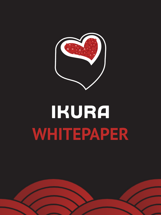

# IKURA **WHITEPAPER**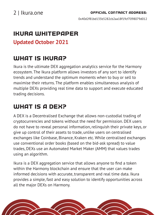0x40d2f81bd135b5282cb2aa18f19cf7098079d012

## Ikura Whitepaper

## **Updated October 2021**

## WHAT IS IKURA?

Ikura is the ultimate DEX aggregation analytics service for the Harmony ecosystem. The Ikura platform allows investors of any sort to identify trends and understand the optimum moments when to buy or sell to maximise their returns. The platform enables simultaneous analysis of multiple DEXs providing real time data to support and execute educated trading decisions.

## WHAT IS A DEX?

A DEX is a Decentralised Exchange that allows non-custodial trading of cryptocurrencies and tokens without the need for permission. DEX users do not have to reveal personal information, relinquish their private keys, or give up control of their assets to trade, unlike users on centralised exchanges like Coinbase, Binance, Kraken etc. While centralised exchanges use conventional order books (based on the bid-ask spread) to value trades, DEXs use an Automated Market Maker (AMM) that values trades using an algorithm.

Ikura is a DEX aggregation service that allows anyone to find a token within the Harmony blockchain and ensure that the user can make informed decisions with accurate, transparent and real time data. Ikura provides a simple, fast and easy solution to identify opportunities across all the major DEXs on Harmony.

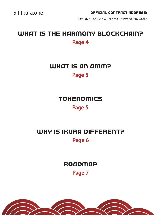0x40d2f81bd135b5282cb2aa18f19cf7098079d012

## WHAT IS THE HARMONY BLOCKCHAIN? **Page 4**

WHAT IS AN AMM?

### **Page 5**

**TOKENOMICS Page 5**

WHY IS IKURA DIFFERENT? **Page 6**

**ROADMAP** 

**Page 7**

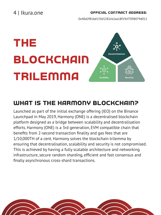4 | Ikura.one

#### Official Contract Address:

0x40d2f81bd135b5282cb2aa18f19cf7098079d012

## THE BLOCKCHAIN trilemma



## WHAT IS THE HARMONY BLOCKCHAIN?

Launched as part of the initial exchange offering (IEO) on the Binance Launchpad in May 2019, Harmony (ONE) is a decentralised blockchain platform designed as a bridge between scalability and decentralisation efforts. Harmony (ONE) is a 3rd generation, EVM compatible chain that benefits from 2-second transaction finality and gas fees that are 1/10,000TH of a cent. Harmony solves the blockchain trilemma by ensuring that decentralisation, scalability and security is not compromised. This is achieved by having a fully scalable architecture and networking infrastructure, secure random sharding, efficient and fast consensus and finally asynchronous cross-shard transactions.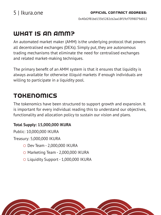0x40d2f81bd135b5282cb2aa18f19cf7098079d012

## WHAT IS AN AMM?

An automated market maker (AMM) is the underlying protocol that powers all decentralised exchanges (DEXs). Simply put, they are autonomous trading mechanisms that eliminate the need for centralised exchanges and related market-making techniques.

The primary benefit of an AMM system is that it ensures that liquidity is always available for otherwise illiquid markets if enough individuals are willing to participate in a liquidity pool.

## Tokenomics

The tokenomics have been structured to support growth and expansion. It is important for every individual reading this to understand our objectives, functionality and allocation policy to sustain our vision and plans.

#### **Total Supply: 15,000,000 IKURA**

Public: 10,000,000 IKURA

Treasury: 5,000,000 IKURA

- Dev Team 2,000,000 IKURA
- O Marketing Team 2,000,000 IKURA
- Liquidity Support 1,000,000 IKURA

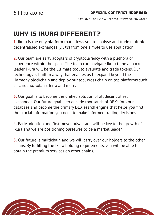0x40d2f81bd135b5282cb2aa18f19cf7098079d012

## Why is Ikura different?

**1.** Ikura is the only platform that allows you to analyse and trade multiple decentralised exchanges (DEXs) from one simple to use application.

**2.** Our team are early adopters of cryptocurrency with a plethora of experience within the space. The team can navigate Ikura to be a market leader. Ikura will be the ultimate tool to evaluate and trade tokens. Our technology is built in a way that enables us to expand beyond the Harmony blockchain and deploy our tool cross chain on top platforms such as Cardano, Solana, Terra and more.

**3.** Our goal is to become the unified solution of all decentralised exchanges. Our future goal is to encode thousands of DEXs into our database and become the primary DEX search engine that helps you find the crucial information you need to make informed trading decisions.

**4.** Early adoption and first mover advantage will be key to the growth of Ikura and we are positioning ourselves to be a market leader.

**5.** Our future is multichain and we will carry over our holders to the other chains. By fulfilling the Ikura holding requirements, you will be able to obtain the premium services on other chains.

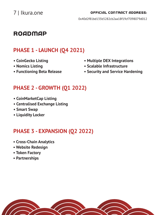0x40d2f81bd135b5282cb2aa18f19cf7098079d012

## **ROADMAP**

## **PHASE 1 - LAUNCH (Q4 2021)**

- **CoinGecko Listing**
- **Nomics Listing**
- **Functioning Beta Release**
- **Multiple DEX Integrations**
- **Scalable Infrastructure**
- **Security and Service Hardening**

## **PHASE 2 - GROWTH (Q1 2022)**

- **CoinMarketCap Listing**
- **Centralised Exchange Listing**
- **Smart Swap**
- **Liquidity Locker**

## **PHASE 3 - EXPANSION (Q2 2022)**

- **Cross-Chain Analytics**
- **Website Redesign**
- **Token Factory**
- **Partnerships**

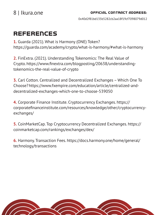0x40d2f81bd135b5282cb2aa18f19cf7098079d012

## **REFERENCES**

**1.** Guarda (2021). What is Harmony (ONE) Token? https://guarda.com/academy/crypto/what-is-harmony/#what-is-harmony

**2.** FinExtra. (2021). Understanding Tokenomics: The Real Value of Crypto. https://www.finextra.com/blogposting/20638/understandingtokenomics-the-real-value-of-crypto

**3.** Carl Cotton. Centralized and Decentralized Exchanges – Which One To Choose? https://www.fxempire.com/education/article/centralized-anddecentralized-exchanges-which-one-to-choose-539050

**4.** Corporate Finance Institute. Cryptocurrency Exchanges. https:// corporatefinanceinstitute.com/resources/knowledge/other/cryptocurrencyexchanges/

**5.** CoinMarketCap. Top Cryptocurrency Decentralized Exchanges. https:// coinmarketcap.com/rankings/exchanges/dex/

**6.** Harmony. Transaction Fees. https://docs.harmony.one/home/general/ technology/transactions